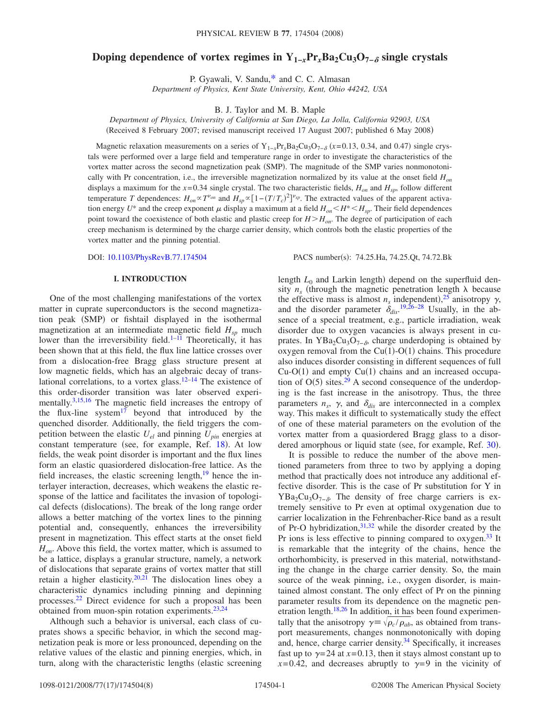# **Doping dependence of vortex regimes in**  $Y_{1-r}P_{r}Ba_{2}Cu_{3}O_{7-\delta}$  **single crystals**

P. Gyawali, V. Sandu[,\\*](#page-6-0) and C. C. Almasan

*Department of Physics, Kent State University, Kent, Ohio 44242, USA*

B. J. Taylor and M. B. Maple

*Department of Physics, University of California at San Diego, La Jolla, California 92903, USA* (Received 8 February 2007; revised manuscript received 17 August 2007; published 6 May 2008)

Magnetic relaxation measurements on a series of  $Y_{1-x}P_{T_x}Ba_2Cu_3O_{7-\delta}$  ( $x=0.13, 0.34,$  and 0.47) single crystals were performed over a large field and temperature range in order to investigate the characteristics of the vortex matter across the second magnetization peak (SMP). The magnitude of the SMP varies nonmonotonically with Pr concentration, i.e., the irreversible magnetization normalized by its value at the onset field *Hon* displays a maximum for the *x*=0.34 single crystal. The two characteristic fields, *Hon* and *Hsp*, follow different temperature *T* dependences:  $H_{on} \propto T^{\nu_{on}}$  and  $H_{sp} \propto [1 - (T/T_c)^2]^{\nu_{sp}}$ . The extracted values of the apparent activation energy  $U^*$  and the creep exponent  $\mu$  display a maximum at a field  $H_{on} < H^* < H_{sp}$ . Their field dependences point toward the coexistence of both elastic and plastic creep for  $H > H_{on}$ . The degree of participation of each creep mechanism is determined by the charge carrier density, which controls both the elastic properties of the vortex matter and the pinning potential.

DOI: [10.1103/PhysRevB.77.174504](http://dx.doi.org/10.1103/PhysRevB.77.174504)

PACS number(s): 74.25.Ha, 74.25.Qt, 74.72.Bk

## **I. INTRODUCTION**

One of the most challenging manifestations of the vortex matter in cuprate superconductors is the second magnetization peak (SMP) or fishtail displayed in the isothermal magnetization at an intermediate magnetic field  $H_{sp}$  much lower than the irreversibility field.<sup>1[–11](#page-7-0)</sup> Theoretically, it has been shown that at this field, the flux line lattice crosses over from a dislocation-free Bragg glass structure present at low magnetic fields, which has an algebraic decay of translational correlations, to a vortex glass. $12-14$  The existence of this order-disorder transition was later observed experimentally[.3](#page-6-2)[,15,](#page-7-3)[16](#page-7-4) The magnetic field increases the entropy of the flux-line system $1^{17}$  beyond that introduced by the quenched disorder. Additionally, the field triggers the competition between the elastic  $U_{el}$  and pinning  $U_{pin}$  energies at constant temperature (see, for example, Ref. [18](#page-7-6)). At low fields, the weak point disorder is important and the flux lines form an elastic quasiordered dislocation-free lattice. As the field increases, the elastic screening length, $19$  hence the interlayer interaction, decreases, which weakens the elastic response of the lattice and facilitates the invasion of topological defects (dislocations). The break of the long range order allows a better matching of the vortex lines to the pinning potential and, consequently, enhances the irreversibility present in magnetization. This effect starts at the onset field *H<sub>on</sub>*. Above this field, the vortex matter, which is assumed to be a lattice, displays a granular structure, namely, a network of dislocations that separate grains of vortex matter that still retain a higher elasticity.<sup>20[,21](#page-7-9)</sup> The dislocation lines obey a characteristic dynamics including pinning and depinning processes[.22](#page-7-10) Direct evidence for such a proposal has been obtained from muon-spin rotation experiments[.23,](#page-7-11)[24](#page-7-12)

Although such a behavior is universal, each class of cuprates shows a specific behavior, in which the second magnetization peak is more or less pronounced, depending on the relative values of the elastic and pinning energies, which, in turn, along with the characteristic lengths (elastic screening

length  $L_0$  and Larkin length) depend on the superfluid density  $n_s$  (through the magnetic penetration length  $\lambda$  because the effective mass is almost  $n_s$  independent),<sup>[25](#page-7-13)</sup> anisotropy  $\gamma$ , and the disorder parameter  $\delta_{dis}$ .<sup>[19](#page-7-7)[,26](#page-7-14)[–28](#page-7-15)</sup> Usually, in the absence of a special treatment, e.g., particle irradiation, weak disorder due to oxygen vacancies is always present in cuprates. In YBa<sub>2</sub>Cu<sub>3</sub>O<sub>7−</sub> $_{\delta}$ , charge underdoping is obtained by oxygen removal from the  $Cu(1)-O(1)$  chains. This procedure also induces disorder consisting in different sequences of full  $Cu-O(1)$  and empty  $Cu(1)$  chains and an increased occupation of  $O(5)$  sites.<sup>29</sup> A second consequence of the underdoping is the fast increase in the anisotropy. Thus, the three parameters  $n_s$ ,  $\gamma$ , and  $\delta_{dis}$  are interconnected in a complex way. This makes it difficult to systematically study the effect of one of these material parameters on the evolution of the vortex matter from a quasiordered Bragg glass to a disor-dered amorphous or liquid state (see, for example, Ref. [30](#page-7-17)).

It is possible to reduce the number of the above mentioned parameters from three to two by applying a doping method that practically does not introduce any additional effective disorder. This is the case of Pr substitution for Y in  $YBa<sub>2</sub>Cu<sub>3</sub>O<sub>7−δ</sub>$ . The density of free charge carriers is extremely sensitive to Pr even at optimal oxygenation due to carrier localization in the Fehrenbacher-Rice band as a result of Pr-O hybridization,  $31,32$  $31,32$  while the disorder created by the Pr ions is less effective to pinning compared to oxygen.<sup>33</sup> It is remarkable that the integrity of the chains, hence the orthorhombicity, is preserved in this material, notwithstanding the change in the charge carrier density. So, the main source of the weak pinning, i.e., oxygen disorder, is maintained almost constant. The only effect of Pr on the pinning parameter results from its dependence on the magnetic penetration length. $18,26$  $18,26$  In addition, it has been found experimentally that the anisotropy  $\gamma = \sqrt{\rho_c / \rho_{ab}}$ , as obtained from transport measurements, changes nonmonotonically with doping and, hence, charge carrier density.<sup>34</sup> Specifically, it increases fast up to  $\gamma$ =24 at *x*=0.13, then it stays almost constant up to  $x=0.42$ , and decreases abruptly to  $y=9$  in the vicinity of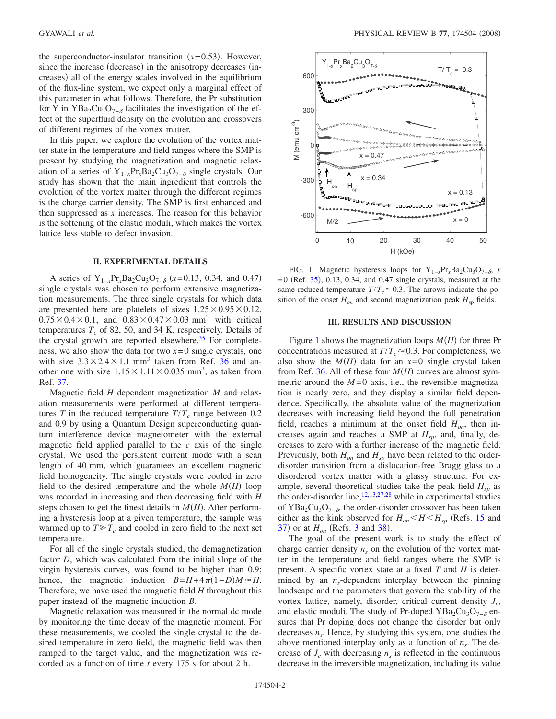the superconductor-insulator transition  $(x=0.53)$ . However, since the increase (decrease) in the anisotropy decreases (increases) all of the energy scales involved in the equilibrium of the flux-line system, we expect only a marginal effect of this parameter in what follows. Therefore, the Pr substitution for Y in YBa<sub>2</sub>Cu<sub>3</sub>O<sub>7−</sub> $_{\delta}$  facilitates the investigation of the effect of the superfluid density on the evolution and crossovers of different regimes of the vortex matter.

In this paper, we explore the evolution of the vortex matter state in the temperature and field ranges where the SMP is present by studying the magnetization and magnetic relaxation of a series of Y<sub>1−*x*</sub>Pr<sub>*x*</sub>Ba<sub>2</sub>Cu<sub>3</sub>O<sub>7−8</sub> single crystals. Our study has shown that the main ingredient that controls the evolution of the vortex matter through the different regimes is the charge carrier density. The SMP is first enhanced and then suppressed as *x* increases. The reason for this behavior is the softening of the elastic moduli, which makes the vortex lattice less stable to defect invasion.

## **II. EXPERIMENTAL DETAILS**

A series of Y<sub>1−*x*</sub>Pr<sub>*x*</sub>Ba<sub>2</sub>Cu<sub>3</sub>O<sub>7−</sub><sub>δ</sub> (*x*=0.13, 0.34, and 0.47) single crystals was chosen to perform extensive magnetization measurements. The three single crystals for which data are presented here are platelets of sizes  $1.25 \times 0.95 \times 0.12$ ,  $0.75 \times 0.4 \times 0.1$ , and  $0.83 \times 0.47 \times 0.03$  mm<sup>3</sup> with critical temperatures  $T_c$  of 82, 50, and 34 K, respectively. Details of the crystal growth are reported elsewhere. $35$  For completeness, we also show the data for two *x*=0 single crystals, one with size  $3.3 \times 2.4 \times 1.1$  mm<sup>3</sup> taken from Ref. [36](#page-7-23) and another one with size  $1.15 \times 1.11 \times 0.035$  mm<sup>3</sup>, as taken from Ref. [37.](#page-7-24)

Magnetic field *H* dependent magnetization *M* and relaxation measurements were performed at different temperatures *T* in the reduced temperature  $T/T_c$  range between 0.2 and 0.9 by using a Quantum Design superconducting quantum interference device magnetometer with the external magnetic field applied parallel to the *c* axis of the single crystal. We used the persistent current mode with a scan length of 40 mm, which guarantees an excellent magnetic field homogeneity. The single crystals were cooled in zero field to the desired temperature and the whole  $M(H)$  loop was recorded in increasing and then decreasing field with *H* steps chosen to get the finest details in  $M(H)$ . After performing a hysteresis loop at a given temperature, the sample was warmed up to  $T \geq T_c$  and cooled in zero field to the next set temperature.

For all of the single crystals studied, the demagnetization factor *D*, which was calculated from the initial slope of the virgin hysteresis curves, was found to be higher than 0.9; hence, the magnetic induction  $B = H + 4\pi(1 - D)M \approx H$ . Therefore, we have used the magnetic field *H* throughout this paper instead of the magnetic induction *B*.

Magnetic relaxation was measured in the normal dc mode by monitoring the time decay of the magnetic moment. For these measurements, we cooled the single crystal to the desired temperature in zero field, the magnetic field was then ramped to the target value, and the magnetization was recorded as a function of time *t* every 175 s for about 2 h.

<span id="page-1-0"></span>

FIG. 1. Magnetic hysteresis loops for Y<sub>1−*x*</sub>Pr<sub>*x*</sub>Ba<sub>2</sub>Cu<sub>3</sub>O<sub>7−</sub><sup> $\delta$ </sup>, *x*  $=0$  (Ref. [35](#page-7-22)), 0.13, 0.34, and 0.47 single crystals, measured at the same reduced temperature  $T/T_c \approx 0.3$ . The arrows indicate the position of the onset  $H_{on}$  and second magnetization peak  $H_{sp}$  fields.

## **III. RESULTS AND DISCUSSION**

Figure [1](#page-1-0) shows the magnetization loops  $M(H)$  for three Pr concentrations measured at  $T/T_c \approx 0.3$ . For completeness, we also show the  $M(H)$  data for an  $x=0$  single crystal taken from Ref. [36.](#page-7-23) All of these four  $M(H)$  curves are almost symmetric around the  $M=0$  axis, i.e., the reversible magnetization is nearly zero, and they display a similar field dependence. Specifically, the absolute value of the magnetization decreases with increasing field beyond the full penetration field, reaches a minimum at the onset field  $H_{on}$ , then increases again and reaches a SMP at  $H_{sp}$ , and, finally, decreases to zero with a further increase of the magnetic field. Previously, both  $H_{on}$  and  $H_{sp}$  have been related to the orderdisorder transition from a dislocation-free Bragg glass to a disordered vortex matter with a glassy structure. For example, several theoretical studies take the peak field  $H_{sp}$  as the order-disorder line, $12,13,27,28$  $12,13,27,28$  $12,13,27,28$  $12,13,27,28$  while in experimental studies of YBa<sub>2</sub>Cu<sub>3</sub>O<sub>7− $\delta$ </sub>, the order-disorder crossover has been taken either as the kink observed for  $H_{on} < H < H_{sp}$  (Refs. [15](#page-7-3) and  $37)$  $37)$  or at  $H_{on}$  (Refs. [3](#page-6-2) and [38](#page-7-27)).

The goal of the present work is to study the effect of charge carrier density  $n<sub>s</sub>$  on the evolution of the vortex matter in the temperature and field ranges where the SMP is present. A specific vortex state at a fixed *T* and *H* is determined by an  $n_s$ -dependent interplay between the pinning landscape and the parameters that govern the stability of the vortex lattice, namely, disorder, critical current density  $J_c$ , and elastic moduli. The study of Pr-doped YBa<sub>2</sub>Cu<sub>3</sub>O<sub>7- $\delta$ </sub> ensures that Pr doping does not change the disorder but only decreases  $n<sub>s</sub>$ . Hence, by studying this system, one studies the above mentioned interplay only as a function of  $n<sub>s</sub>$ . The decrease of  $J_c$  with decreasing  $n_s$  is reflected in the continuous decrease in the irreversible magnetization, including its value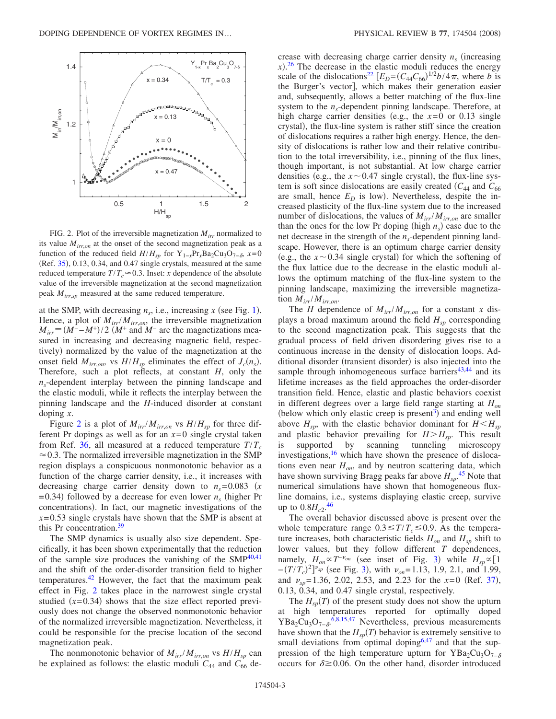<span id="page-2-0"></span>

FIG. 2. Plot of the irreversible magnetization *Mirr* normalized to its value  $M_{irr,on}$  at the onset of the second magnetization peak as a function of the reduced field  $H/H_{sp}$  for Y<sub>1−*x*</sub>Pr<sub>*x*</sub>Ba<sub>2</sub>Cu<sub>3</sub>O<sub>7− $\delta$ </sub>, *x*=0  $(Ref. 35), 0.13, 0.34, and 0.47 single crystals, measured at the same$  $(Ref. 35), 0.13, 0.34, and 0.47 single crystals, measured at the same$  $(Ref. 35), 0.13, 0.34, and 0.47 single crystals, measured at the same$ reduced temperature  $T/T_c \approx 0.3$ . Inset: *x* dependence of the absolute value of the irreversible magnetization at the second magnetization peak *Mirr*,*sp* measured at the same reduced temperature.

at the SMP, with decreasing  $n_s$ , i.e., increasing  $x$  (see Fig. [1](#page-1-0)). Hence, a plot of  $M_{irr}/M_{irr,on}$ , the irreversible magnetization  $M_{irr} \equiv (M^- - M^+)/2$  *(M<sup>+</sup>* and *M<sup>−</sup>* are the magnetizations measured in increasing and decreasing magnetic field, respectively) normalized by the value of the magnetization at the onset field  $M_{irr, on}$ , vs  $H/H_{sp}$  eliminates the effect of  $J_c(n_s)$ . Therefore, such a plot reflects, at constant *H*, only the  $n<sub>s</sub>$ -dependent interplay between the pinning landscape and the elastic moduli, while it reflects the interplay between the pinning landscape and the *H*-induced disorder at constant doping *x*.

Figure [2](#page-2-0) is a plot of  $M_{irr}/M_{irr,on}$  vs  $H/H_{sp}$  for three different Pr dopings as well as for an  $x=0$  single crystal taken from Ref. [36,](#page-7-23) all measured at a reduced temperature  $T/T_c$  $\approx 0.3$ . The normalized irreversible magnetization in the SMP region displays a conspicuous nonmonotonic behavior as a function of the charge carrier density, i.e., it increases with decreasing charge carrier density down to  $n_s = 0.083$  (x  $= 0.34$ ) followed by a decrease for even lower  $n<sub>s</sub>$  (higher Pr concentrations). In fact, our magnetic investigations of the  $x=0.53$  single crystals have shown that the SMP is absent at this Pr concentration[.39](#page-7-28)

The SMP dynamics is usually also size dependent. Specifically, it has been shown experimentally that the reduction of the sample size produces the vanishing of the  $SMP^{40,41}$  $SMP^{40,41}$  $SMP^{40,41}$ and the shift of the order-disorder transition field to higher temperatures. $42$  However, the fact that the maximum peak effect in Fig. [2](#page-2-0) takes place in the narrowest single crystal studied  $(x=0.34)$  shows that the size effect reported previously does not change the observed nonmonotonic behavior of the normalized irreversible magnetization. Nevertheless, it could be responsible for the precise location of the second magnetization peak.

The nonmonotonic behavior of  $M_{irr}/M_{irr,on}$  vs  $H/H_{sp}$  can be explained as follows: the elastic moduli  $C_{44}$  and  $C_{66}$  decrease with decreasing charge carrier density  $n<sub>s</sub>$  (increasing  $(x)$ .<sup>[26](#page-7-14)</sup> The decrease in the elastic moduli reduces the energy scale of the dislocations<sup>22</sup>  $[E_D = (C_{44}C_{66})^{1/2}b/4\pi,$  where *b* is the Burger's vector], which makes their generation easier and, subsequently, allows a better matching of the flux-line system to the  $n<sub>s</sub>$ -dependent pinning landscape. Therefore, at high charge carrier densities (e.g., the  $x=0$  or 0.13 single crystal), the flux-line system is rather stiff since the creation of dislocations requires a rather high energy. Hence, the density of dislocations is rather low and their relative contribution to the total irreversibility, i.e., pinning of the flux lines, though important, is not substantial. At low charge carrier densities (e.g., the  $x \sim 0.47$  single crystal), the flux-line system is soft since dislocations are easily created  $(C_{44}$  and  $C_{66}$ are small, hence  $E_D$  is low). Nevertheless, despite the increased plasticity of the flux-line system due to the increased number of dislocations, the values of  $M_{irr}/M_{irr,on}$  are smaller than the ones for the low Pr doping (high  $n<sub>s</sub>$ ) case due to the net decrease in the strength of the  $n<sub>s</sub>$ -dependent pinning landscape. However, there is an optimum charge carrier density (e.g., the  $x \sim 0.34$  single crystal) for which the softening of the flux lattice due to the decrease in the elastic moduli allows the optimum matching of the flux-line system to the pinning landscape, maximizing the irreversible magnetization *Mirr*/*Mirr*,*on*.

The *H* dependence of  $M_{irr}/M_{irr,on}$  for a constant *x* displays a broad maximum around the field  $H_{sp}$  corresponding to the second magnetization peak. This suggests that the gradual process of field driven disordering gives rise to a continuous increase in the density of dislocation loops. Additional disorder (transient disorder) is also injected into the sample through inhomogeneous surface barriers $43,44$  $43,44$  and its lifetime increases as the field approaches the order-disorder transition field. Hence, elastic and plastic behaviors coexist in different degrees over a large field range starting at *Hon* (below which only elastic creep is present<sup>3</sup>) and ending well above  $H_{sp}$ , with the elastic behavior dominant for  $H \leq H_{sp}$ and plastic behavior prevailing for  $H > H_{sp}$ . This result is supported by scanning tunneling microscopy investigations,<sup>16</sup> which have shown the presence of dislocations even near  $H_{on}$ , and by neutron scattering data, which have shown surviving Bragg peaks far above *Hsp*. [45](#page-7-33) Note that numerical simulations have shown that homogeneous fluxline domains, i.e., systems displaying elastic creep, survive up to  $0.8H_{c2}$ <sup>[46](#page-7-34)</sup>

The overall behavior discussed above is present over the whole temperature range  $0.3 \leq T/T_c \leq 0.9$ . As the temperature increases, both characteristic fields  $H_{on}$  and  $H_{sp}$  shift to lower values, but they follow different *T* dependences, namely,  $H_{on} \propto T^{-\nu_{on}}$  (see inset of Fig. [3](#page-3-0)) while  $H_{sp} \propto [1]$  $-(T/T_c)^2$ <sup> $\nu_{sp}$ </sup> (see Fig. [3](#page-3-0)), with  $\nu_{on}$ =1.13, 1.9, 2.1, and 1.99, and  $v_{sp} = 1.36, 2.02, 2.53,$  and 2.23 for the  $x=0$  (Ref. [37](#page-7-24)), 0.13, 0.34, and 0.47 single crystal, respectively.

The  $H_{sp}(T)$  of the present study does not show the upturn at high temperatures reported for optimally doped  $YBa<sub>2</sub>Cu<sub>3</sub>O<sub>7−δ</sub>$ <sup>[6](#page-6-3)[,8](#page-6-4)[,15](#page-7-3)[,47](#page-7-35)</sup> Nevertheless, previous measurements have shown that the  $H_{sp}(T)$  behavior is extremely sensitive to small deviations from optimal doping<sup>6[,47](#page-7-35)</sup> and that the suppression of the high temperature upturn for YBa<sub>2</sub>Cu<sub>3</sub>O<sub>7−</sub> occurs for  $\delta \ge 0.06$ . On the other hand, disorder introduced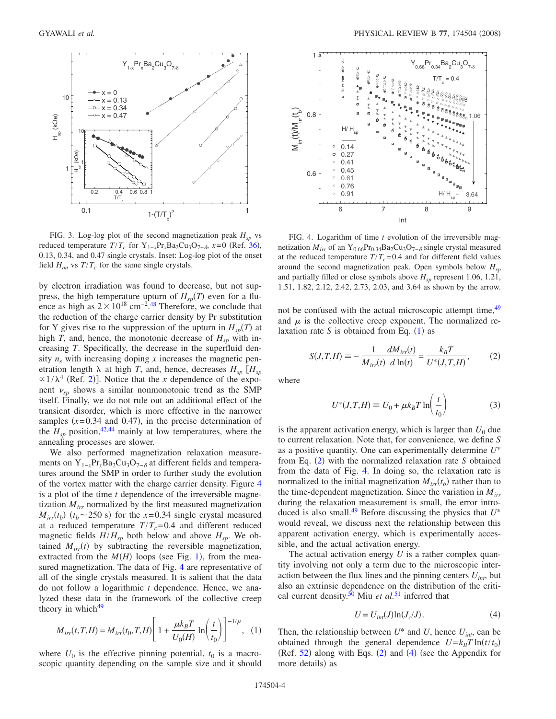<span id="page-3-0"></span>

FIG. 3. Log-log plot of the second magnetization peak  $H_{sp}$  vs reduced temperature  $T/T_c$  for  $Y_{1-x}Pr_xBa_2Cu_3O_{7-\delta}$ ,  $x=0$  (Ref. [36](#page-7-23)), 0.13, 0.34, and 0.47 single crystals. Inset: Log-log plot of the onset field  $H_{on}$  vs  $T/T_c$  for the same single crystals.

by electron irradiation was found to decrease, but not suppress, the high temperature upturn of  $H_{sp}(T)$  even for a fluence as high as  $2 \times 10^{18}$  cm<sup>-2</sup>.<sup>[48](#page-7-36)</sup> Therefore, we conclude that the reduction of the charge carrier density by Pr substitution for Y gives rise to the suppression of the upturn in  $H_{sp}(T)$  at high *T*, and, hence, the monotonic decrease of  $H_{\rm sn}$  with increasing *T*. Specifically, the decrease in the superfluid density  $n_s$  with increasing doping  $x$  increases the magnetic penetration length  $\lambda$  at high *T*, and, hence, decreases  $H_{sp}$  [ $H_{sp}$  $\propto$  1/ $\lambda$ <sup>4</sup> (Ref. [2](#page-6-5))]. Notice that the *x* dependence of the exponent  $\nu_{sp}$  shows a similar nonmonotonic trend as the SMP itself. Finally, we do not rule out an additional effect of the transient disorder, which is more effective in the narrower samples  $(x=0.34$  and 0.47), in the precise determination of the  $H_{sp}$  position,<sup>42[,44](#page-7-32)</sup> mainly at low temperatures, where the annealing processes are slower.

We also performed magnetization relaxation measurements on Y<sub>1−*x*</sub>Pr<sub>*x*</sub>Ba<sub>2</sub>Cu<sub>3</sub>O<sub>7−</sub> $_{\delta}$  at different fields and temperatures around the SMP in order to further study the evolution of the vortex matter with the charge carrier density. Figure [4](#page-3-1) is a plot of the time *t* dependence of the irreversible magnetization  $M_{irr}$  normalized by the first measured magnetization  $M_{irr}(t_b)$  ( $t_b \sim 250$  s) for the  $x=0.34$  single crystal measured at a reduced temperature  $T/T_c = 0.4$  and different reduced magnetic fields  $H/H_{sp}$  both below and above  $H_{sp}$ . We obtained  $M_{irr}(t)$  by subtracting the reversible magnetization, extracted from the  $M(H)$  loops (see Fig. [1](#page-1-0)), from the measured magnetization. The data of Fig. [4](#page-3-1) are representative of all of the single crystals measured. It is salient that the data do not follow a logarithmic *t* dependence. Hence, we analyzed these data in the framework of the collective creep theory in which $49$ 

<span id="page-3-2"></span>
$$
M_{irr}(t,T,H) = M_{irr}(t_0,T,H) \left[ 1 + \frac{\mu k_B T}{U_0(H)} \ln \left( \frac{t}{t_0} \right) \right]^{-1/\mu}, \quad (1)
$$

where  $U_0$  is the effective pinning potential,  $t_0$  is a macroscopic quantity depending on the sample size and it should

<span id="page-3-1"></span>

FIG. 4. Logarithm of time *t* evolution of the irreversible magnetization  $M_{irr}$  of an Y<sub>0.66</sub>Pr<sub>0.34</sub>Ba<sub>2</sub>Cu<sub>3</sub>O<sub>7−</sub><sub>8</sub> single crystal measured at the reduced temperature  $T/T_c = 0.4$  and for different field values around the second magnetization peak. Open symbols below  $H_{sp}$ and partially filled or close symbols above  $H_{sp}$  represent 1.06, 1.21, 1.51, 1.82, 2.12, 2.42, 2.73, 2.03, and 3.64 as shown by the arrow.

not be confused with the actual microscopic attempt time, <sup>49</sup> and  $\mu$  is the collective creep exponent. The normalized relaxation rate  $S$  is obtained from Eq.  $(1)$  $(1)$  $(1)$  as

<span id="page-3-3"></span>
$$
S(J,T,H) \equiv -\frac{1}{M_{irr}(t)} \frac{dM_{irr}(t)}{d \ln(t)} = \frac{k_B T}{U^*(J,T,H)},
$$
 (2)

<span id="page-3-5"></span>where

$$
U^*(J,T,H) = U_0 + \mu k_B T \ln\left(\frac{t}{t_0}\right) \tag{3}
$$

is the apparent activation energy, which is larger than  $U_0$  due to current relaxation. Note that, for convenience, we define *S* as a positive quantity. One can experimentally determine *U*\* from Eq. ([2](#page-3-3)) with the normalized relaxation rate *S* obtained from the data of Fig. [4.](#page-3-1) In doing so, the relaxation rate is normalized to the initial magnetization  $M_{irr}(t_b)$  rather than to the time-dependent magnetization. Since the variation in *Mirr* during the relaxation measurement is small, the error introduced is also small.<sup>49</sup> Before discussing the physics that  $U^*$ would reveal, we discuss next the relationship between this apparent activation energy, which is experimentally accessible, and the actual activation energy.

The actual activation energy *U* is a rather complex quantity involving not only a term due to the microscopic interaction between the flux lines and the pinning centers  $U_{int}$ , but also an extrinsic dependence on the distribution of the critical current density[.50](#page-7-38) Miu *et al.*[51](#page-7-39) inferred that

$$
U = U_{int}(J)\ln(J_c/J). \tag{4}
$$

<span id="page-3-4"></span>Then, the relationship between  $U^*$  and  $U$ , hence  $U_{int}$ , can be obtained through the general dependence  $U = k_B T \ln(t/t_0)$  $(Ref. 52)$  $(Ref. 52)$  $(Ref. 52)$  along with Eqs.  $(2)$  $(2)$  $(2)$  and  $(4)$  $(4)$  $(4)$  (see the Appendix for more details) as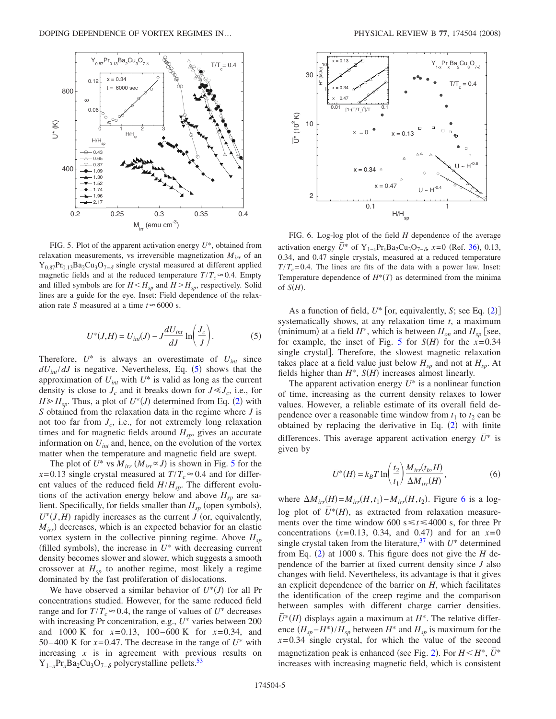<span id="page-4-1"></span>

FIG. 5. Plot of the apparent activation energy *U*\*, obtained from relaxation measurements, vs irreversible magnetization *Mirr* of an  $Y_{0.87}Pr_{0.13}Ba_2Cu_3O_{7-\delta}$  single crystal measured at different applied magnetic fields and at the reduced temperature  $T/T_c \approx 0.4$ . Empty and filled symbols are for  $H < H_{sp}$  and  $H > H_{sp}$ , respectively. Solid lines are a guide for the eye. Inset: Field dependence of the relaxation rate *S* measured at a time  $t \approx 6000$  s.

$$
U^*(J,H) = U_{int}(J) - J \frac{dU_{int}}{dJ} \ln\left(\frac{J_c}{J}\right). \tag{5}
$$

<span id="page-4-0"></span>Therefore,  $U^*$  is always an overestimate of  $U_{int}$  since  $dU_{int}/dJ$  is negative. Nevertheless, Eq. ([5](#page-4-0)) shows that the approximation of  $U_{int}$  with  $U^*$  is valid as long as the current density is close to  $J_c$  and it breaks down for  $J \ll J_c$ , i.e., for  $H \ge H_{sp}$ . Thus, a plot of  $U^*(J)$  determined from Eq. ([2](#page-3-3)) with *S* obtained from the relaxation data in the regime where *J* is not too far from  $J_c$ , i.e., for not extremely long relaxation times and for magnetic fields around  $H_{sp}$ , gives an accurate information on *Uint* and, hence, on the evolution of the vortex matter when the temperature and magnetic field are swept.

The plot of  $U^*$  vs  $M_{irr}$   $(M_{irr} \propto J)$  is shown in Fig. [5](#page-4-1) for the  $x=0.13$  single crystal measured at  $T/T_c \approx 0.4$  and for different values of the reduced field  $H/H_{sp}$ . The different evolutions of the activation energy below and above  $H_{sp}$  are salient. Specifically, for fields smaller than  $H_{sp}$  (open symbols),  $U^*(J,H)$  rapidly increases as the current *J* (or, equivalently,  $M_{irr}$ ) decreases, which is an expected behavior for an elastic vortex system in the collective pinning regime. Above *Hsp* (filled symbols), the increase in  $U^*$  with decreasing current density becomes slower and slower, which suggests a smooth crossover at  $H_{sp}$  to another regime, most likely a regime dominated by the fast proliferation of dislocations.

We have observed a similar behavior of  $U^*(J)$  for all Pr concentrations studied. However, for the same reduced field range and for  $T/T_c \approx 0.4$ , the range of values of  $U^*$  decreases with increasing Pr concentration, e.g., *U*\* varies between 200 and 1000 K for *x*=0.13, 100–600 K for *x*=0.34, and 50–400 K for  $x=0.47$ . The decrease in the range of  $U^*$  with increasing  $x$  is in agreement with previous results on  $Y_{1-x}Pr_xBa_2Cu_3O_{7-\delta}$  polycrystalline pellets.<sup>53</sup>

<span id="page-4-2"></span>

FIG. 6. Log-log plot of the field *H* dependence of the average activation energy  $\overline{U}^*$  of Y<sub>1−*x*</sub>Pr<sub>*x*</sub>Ba<sub>2</sub>Cu<sub>3</sub>O<sub>7−</sub> $_{\delta}$ , *x*=0 (Ref. [36](#page-7-23)), 0.13, 0.34, and 0.47 single crystals, measured at a reduced temperature  $T/T_c = 0.4$ . The lines are fits of the data with a power law. Inset: Temperature dependence of  $H^*(T)$  as determined from the minima of  $S(H)$ .

As a function of field,  $U^*$  [or, equivalently, *S*; see Eq. ([2](#page-3-3))] systematically shows, at any relaxation time *t*, a maximum (minimum) at a field  $H^*$ , which is between  $H_{on}$  and  $H_{sp}$  [see, for example, the inset of Fig. [5](#page-4-1) for  $S(H)$  for the  $x=0.34$ single crystal]. Therefore, the slowest magnetic relaxation takes place at a field value just below  $H_{sn}$  and not at  $H_{sn}$ . At fields higher than  $H^*$ ,  $S(H)$  increases almost linearly.

The apparent activation energy  $U^*$  is a nonlinear function of time, increasing as the current density relaxes to lower values. However, a reliable estimate of its overall field dependence over a reasonable time window from  $t_1$  to  $t_2$  can be obtained by replacing the derivative in Eq.  $(2)$  $(2)$  $(2)$  with finite differences. This average apparent activation energy  $U^*$  is given by

$$
\overline{U}^*(H) = k_B T \ln\left(\frac{t_2}{t_1}\right) \frac{M_{irr}(t_b, H)}{\Delta M_{irr}(H)},\tag{6}
$$

where  $\Delta M_{irr}(H) = M_{irr}(H, t_1) - M_{irr}(H, t_2)$ . Figure [6](#page-4-2) is a loglog plot of  $\overline{U}^*(H)$ , as extracted from relaxation measurements over the time window 600  $s \le t \le 4000$  s, for three Pr concentrations  $(x=0.13, 0.34, \text{ and } 0.47)$  and for an  $x=0$ single crystal taken from the literature,<sup>37</sup> with  $U^*$  determined from Eq.  $(2)$  $(2)$  $(2)$  at 1000 s. This figure does not give the *H* dependence of the barrier at fixed current density since *J* also changes with field. Nevertheless, its advantage is that it gives an explicit dependence of the barrier on *H*, which facilitates the identification of the creep regime and the comparison between samples with different charge carrier densities.  $\overline{U}^*(H)$  displays again a maximum at  $H^*$ . The relative difference *Hsp*−*H*\*-/*Hsp* between *H*\* and *Hsp* is maximum for the  $x=0.34$  single crystal, for which the value of the second magnetization peak is enhanced (see Fig. [2](#page-2-0)). For  $H < H^*$ ,  $\bar{U}^*$ increases with increasing magnetic field, which is consistent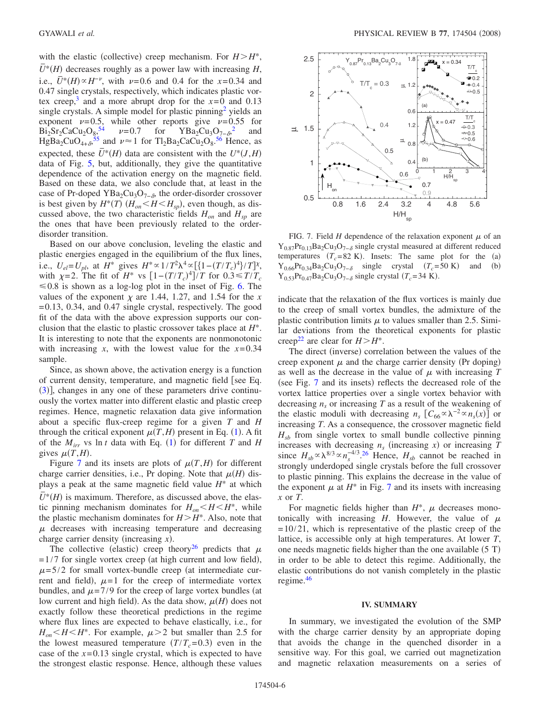with the elastic (collective) creep mechanism. For  $H > H^*$ ,  $\overline{U}^*(H)$  decreases roughly as a power law with increasing *H*, i.e.,  $\bar{U}^*(H) \propto H^{-\nu}$ , with  $\nu$ =0.6 and 0.4 for the *x*=0.34 and 0.47 single crystals, respectively, which indicates plastic vortex creep,<sup>3</sup> and a more abrupt drop for the  $x=0$  and 0.13 single crystals. A simple model for plastic pinning<sup>2</sup> yields an exponent  $\nu=0.5$ , while other reports give  $\nu=0.55$  for  $\text{Bi}_2\text{Sr}_2\text{CaCu}_2\text{O}_{\frac{8}{2}}^{\phantom{2}}$  $\text{Bi}_2\text{Sr}_2\text{CaCu}_2\text{O}_{\frac{8}{2}}^{\phantom{2}}$  $\text{Bi}_2\text{Sr}_2\text{CaCu}_2\text{O}_{\frac{8}{2}}^{\phantom{2}}$   $\nu=0.7$  for  $\text{YBa}_2\text{Cu}_3\text{O}_{7-\delta}^{\phantom{2}}$  and  $HgBa_2CuO_{4+\delta}^{55}$  $HgBa_2CuO_{4+\delta}^{55}$  $HgBa_2CuO_{4+\delta}^{55}$  and  $\nu \approx 1$  for  $Tl_2Ba_2CaCu_2O_8^{56}$  $Tl_2Ba_2CaCu_2O_8^{56}$  $Tl_2Ba_2CaCu_2O_8^{56}$  Hence, as expected, these  $\bar{U}^*(H)$  data are consistent with the  $U^*(J,H)$ data of Fig. [5,](#page-4-1) but, additionally, they give the quantitative dependence of the activation energy on the magnetic field. Based on these data, we also conclude that, at least in the case of Pr-doped YBa<sub>2</sub>Cu<sub>3</sub>O<sub>7− $\delta$ </sub>, the order-disorder crossover is best given by  $H^*(T)$  ( $H_{on} < H < H_{sp}$ ), even though, as discussed above, the two characteristic fields  $H_{on}$  and  $H_{sp}$  are the ones that have been previously related to the orderdisorder transition.

Based on our above conclusion, leveling the elastic and plastic energies engaged in the equilibrium of the flux lines, i.e.,  $U_{el} = U_{pl}$ , at  $H^*$  gives  $H^* \propto 1/T^2 \lambda^4 \propto [\{1 - (T/T_c)^4\}/T]^{\chi}$ , with  $\chi$ =2. The fit of *H*<sup>\*</sup> vs  $\left[1 - (T/T_c)^4\right] / T$  for  $0.3 \le T/T_c$  $\leq 0.8$  is shown as a log-log plot in the inset of Fig. [6.](#page-4-2) The values of the exponent  $\chi$  are 1.44, 1.27, and 1.54 for the *x*  $=0.13$ , 0.34, and 0.47 single crystal, respectively. The good fit of the data with the above expression supports our conclusion that the elastic to plastic crossover takes place at *H*\*. It is interesting to note that the exponents are nonmonotonic with increasing *x*, with the lowest value for the  $x=0.34$ sample.

Since, as shown above, the activation energy is a function of current density, temperature, and magnetic field [see Eq. ([3](#page-3-5))], changes in any one of these parameters drive continuously the vortex matter into different elastic and plastic creep regimes. Hence, magnetic relaxation data give information about a specific flux-creep regime for a given *T* and *H* through the critical exponent  $\mu(T, H)$  present in Eq. ([1](#page-3-2)). A fit of the  $M_{irr}$  vs  $\ln t$  data with Eq. ([1](#page-3-2)) for different *T* and *H* gives  $\mu(T,H)$ .

Figure [7](#page-5-0) and its insets are plots of  $\mu(T,H)$  for different charge carrier densities, i.e., Pr doping. Note that  $\mu$ (*H*) displays a peak at the same magnetic field value *H*\* at which  $\overline{U^*}(H)$  is maximum. Therefore, as discussed above, the elastic pinning mechanism dominates for  $H_{on} < H < H^*$ , while the plastic mechanism dominates for  $H > H^*$ . Also, note that  $\mu$  decreases with increasing temperature and decreasing charge carrier density (increasing  $x$ ).

The collective (elastic) creep theory<sup>26</sup> predicts that  $\mu$  $=1/7$  for single vortex creep (at high current and low field),  $\mu$ =5/2 for small vortex-bundle creep (at intermediate current and field),  $\mu=1$  for the creep of intermediate vortex bundles, and  $\mu$ =7/9 for the creep of large vortex bundles (at low current and high field). As the data show,  $\mu$ (*H*) does not exactly follow these theoretical predictions in the regime where flux lines are expected to behave elastically, i.e., for  $H_{on}$   $\lt H \lt H^*$ . For example,  $\mu$   $>$  2 but smaller than 2.5 for the lowest measured temperature  $(T/T_c=0.3)$  even in the case of the *x*=0.13 single crystal, which is expected to have the strongest elastic response. Hence, although these values

<span id="page-5-0"></span>

FIG. 7. Field *H* dependence of the relaxation exponent  $\mu$  of an  $Y_{0.87}Pr_{0.13}Ba_2Cu_3O_{7-\delta}$  single crystal measured at different reduced temperatures  $(T_c = 82 \text{ K})$ . Insets: The same plot for the (a)  $Y_{0.66}Pr_{0.34}Ba_2Cu_3O_{7-\delta}$  single crystal  $(T_c=50 \text{ K})$  and (b)  $Y_{0.53}Pr_{0.47}Ba_2Cu_3O_{7-\delta}$  single crystal ( $T_c$ =34 K).

indicate that the relaxation of the flux vortices is mainly due to the creep of small vortex bundles, the admixture of the plastic contribution limits  $\mu$  to values smaller than 2.5. Similar deviations from the theoretical exponents for plastic creep<sup>22</sup> are clear for  $H > H^*$ .

The direct (inverse) correlation between the values of the creep exponent  $\mu$  and the charge carrier density (Pr doping) as well as the decrease in the value of  $\mu$  with increasing  $T$ (see Fig. [7](#page-5-0) and its insets) reflects the decreased role of the vortex lattice properties over a single vortex behavior with decreasing  $n<sub>s</sub>$  or increasing  $T$  as a result of the weakening of the elastic moduli with decreasing  $n_s$   $[C_{66} \propto \lambda^{-2} \propto n_s(x)]$  or increasing *T*. As a consequence, the crossover magnetic field  $H<sub>sh</sub>$  from single vortex to small bundle collective pinning increases with decreasing  $n<sub>s</sub>$  (increasing  $x$ ) or increasing  $T$ since  $H_{sb} \propto \lambda^{8/3} \propto n_s^{-4/3}$ . *[26](#page-7-14)* Hence,  $H_{sb}$  cannot be reached in strongly underdoped single crystals before the full crossover to plastic pinning. This explains the decrease in the value of the exponent  $\mu$  at  $H^*$  in Fig. [7](#page-5-0) and its insets with increasing *x* or *T*.

For magnetic fields higher than  $H^*$ ,  $\mu$  decreases monotonically with increasing  $H$ . However, the value of  $\mu$  $=10/21$ , which is representative of the plastic creep of the lattice, is accessible only at high temperatures. At lower *T*, one needs magnetic fields higher than the one available  $(5 T)$ in order to be able to detect this regime. Additionally, the elastic contributions do not vanish completely in the plastic regime.<sup>46</sup>

## **IV. SUMMARY**

In summary, we investigated the evolution of the SMP with the charge carrier density by an appropriate doping that avoids the change in the quenched disorder in a sensitive way. For this goal, we carried out magnetization and magnetic relaxation measurements on a series of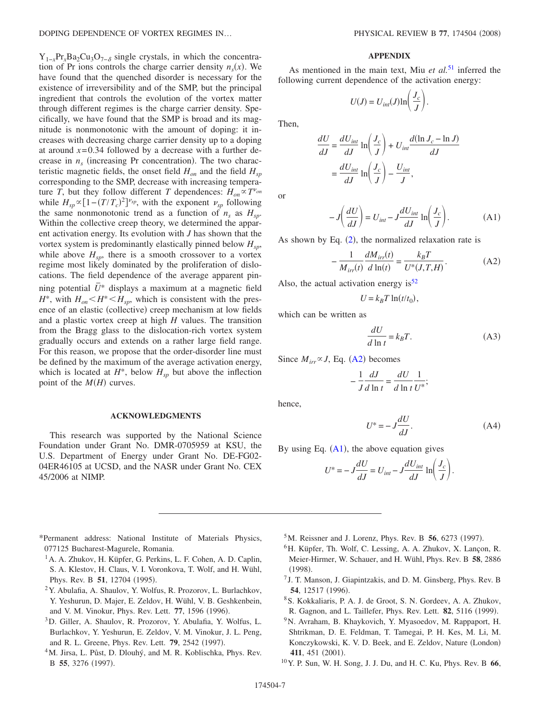$Y_{1-x}Pr_xBa_2Cu_3O_{7-\delta}$  single crystals, in which the concentration of Pr ions controls the charge carrier density  $n<sub>s</sub>(x)$ . We have found that the quenched disorder is necessary for the existence of irreversibility and of the SMP, but the principal ingredient that controls the evolution of the vortex matter through different regimes is the charge carrier density. Specifically, we have found that the SMP is broad and its magnitude is nonmonotonic with the amount of doping: it increases with decreasing charge carrier density up to a doping at around  $x=0.34$  followed by a decrease with a further decrease in  $n<sub>s</sub>$  (increasing Pr concentration). The two characteristic magnetic fields, the onset field  $H_{on}$  and the field  $H_{on}$ corresponding to the SMP, decrease with increasing temperature *T*, but they follow different *T* dependences:  $H_{on} \propto T^{\nu_{on}}$ while  $H_{sp} \propto [1 - (T/T_c)^2]^{v_{sp}}$ , with the exponent  $v_{sp}$  following the same nonmonotonic trend as a function of  $n_s$  as  $H_{sp}$ . Within the collective creep theory, we determined the apparent activation energy. Its evolution with *J* has shown that the vortex system is predominantly elastically pinned below  $H_{sp}$ , while above  $H_{sp}$ , there is a smooth crossover to a vortex regime most likely dominated by the proliferation of dislocations. The field dependence of the average apparent pinning potential  $\bar{U}^*$  displays a maximum at a magnetic field  $H^*$ , with  $H_{on}$   $\lt H^*$   $\lt H_{sp}$ , which is consistent with the presence of an elastic (collective) creep mechanism at low fields and a plastic vortex creep at high *H* values. The transition from the Bragg glass to the dislocation-rich vortex system gradually occurs and extends on a rather large field range. For this reason, we propose that the order-disorder line must be defined by the maximum of the average activation energy, which is located at  $H^*$ , below  $H_{sp}$  but above the inflection point of the  $M(H)$  curves.

#### **ACKNOWLEDGMENTS**

This research was supported by the National Science Foundation under Grant No. DMR-0705959 at KSU, the U.S. Department of Energy under Grant No. DE-FG02- 04ER46105 at UCSD, and the NASR under Grant No. CEX 45/2006 at NIMP.

#### **APPENDIX**

As mentioned in the main text, Miu *et al.*[51](#page-7-39) inferred the following current dependence of the activation energy:

$$
U(J) = U_{int}(J) \ln\left(\frac{J_c}{J}\right).
$$

Then,

$$
\frac{dU}{dJ} = \frac{dU_{int}}{dJ} \ln\left(\frac{J_c}{J}\right) + U_{int} \frac{d(\ln J_c - \ln J)}{dJ}
$$

$$
= \frac{dU_{int}}{dJ} \ln\left(\frac{J_c}{J}\right) - \frac{U_{int}}{J},
$$

<span id="page-6-7"></span>or

$$
-J\left(\frac{dU}{dJ}\right) = U_{int} - J\frac{dU_{int}}{dJ}\ln\left(\frac{J_c}{J}\right). \tag{A1}
$$

<span id="page-6-6"></span>As shown by Eq.  $(2)$  $(2)$  $(2)$ , the normalized relaxation rate is

$$
-\frac{1}{M_{irr}(t)}\frac{dM_{irr}(t)}{d\ln(t)} = \frac{k_B T}{U^*(J,T,H)}.\tag{A2}
$$

Also, the actual activation energy is  $52$ 

$$
U = k_B T \ln(t/t_0),
$$

which can be written as

$$
\frac{dU}{d\ln t} = k_B T.
$$
 (A3)

Since  $M_{irr} \propto J$ , Eq. ([A2](#page-6-6)) becomes

$$
-\frac{1}{J}\frac{dJ}{d\ln t} = \frac{dU}{d\ln t}\frac{1}{U^*};
$$

hence,

$$
U^* = -J\frac{dU}{dJ}.\tag{A4}
$$

By using Eq.  $(A1)$  $(A1)$  $(A1)$ , the above equation gives

$$
U^* = -J\frac{dU}{dJ} = U_{int} - J\frac{dU_{int}}{dJ} \ln\left(\frac{J_c}{J}\right).
$$

- <span id="page-6-1"></span><span id="page-6-0"></span>\*Permanent address: National Institute of Materials Physics, 077125 Bucharest-Magurele, Romania.
	- 1A. A. Zhukov, H. Küpfer, G. Perkins, L. F. Cohen, A. D. Caplin, S. A. Klestov, H. Claus, V. I. Voronkova, T. Wolf, and H. Wühl, Phys. Rev. B 51, 12704 (1995).
	- 2Y. Abulafia, A. Shaulov, Y. Wolfus, R. Prozorov, L. Burlachkov, Y. Yeshurun, D. Majer, E. Zeldov, H. Wühl, V. B. Geshkenbein, and V. M. Vinokur, Phys. Rev. Lett. 77, 1596 (1996).
- <span id="page-6-5"></span><span id="page-6-2"></span>3D. Giller, A. Shaulov, R. Prozorov, Y. Abulafia, Y. Wolfus, L. Burlachkov, Y. Yeshurun, E. Zeldov, V. M. Vinokur, J. L. Peng, and R. L. Greene, Phys. Rev. Lett. **79**, 2542 (1997).
- <sup>4</sup>M. Jirsa, L. Půst, D. Dlouhý, and M. R. Koblischka, Phys. Rev. B 55, 3276 (1997).
- <sup>5</sup>M. Reissner and J. Lorenz, Phys. Rev. B **56**, 6273 (1997).
- <span id="page-6-3"></span><sup>6</sup>H. Küpfer, Th. Wolf, C. Lessing, A. A. Zhukov, X. Lançon, R. Meier-Hirmer, W. Schauer, and H. Wühl, Phys. Rev. B **58**, 2886  $(1998).$
- <sup>7</sup> J. T. Manson, J. Giapintzakis, and D. M. Ginsberg, Phys. Rev. B **54**, 12517 (1996).
- <span id="page-6-4"></span>8S. Kokkaliaris, P. A. J. de Groot, S. N. Gordeev, A. A. Zhukov, R. Gagnon, and L. Taillefer, Phys. Rev. Lett. 82, 5116 (1999).
- 9N. Avraham, B. Khaykovich, Y. Myasoedov, M. Rappaport, H. Shtrikman, D. E. Feldman, T. Tamegai, P. H. Kes, M. Li, M. Konczykowski, K. V. D. Beek, and E. Zeldov, Nature (London) 411, 451 (2001).
- 10Y. P. Sun, W. H. Song, J. J. Du, and H. C. Ku, Phys. Rev. B **66**,